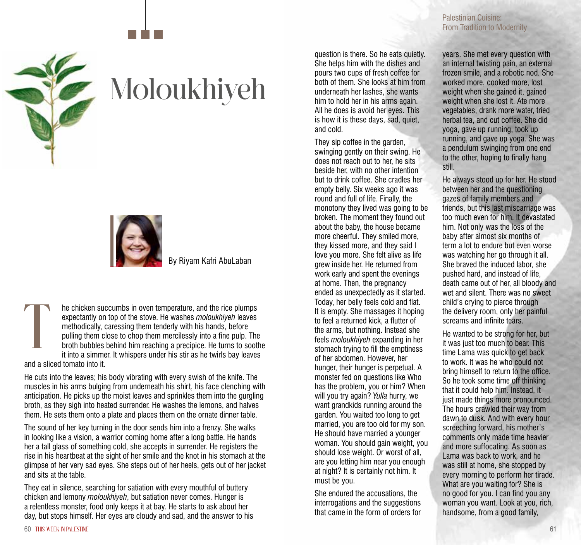

## Moloukhiyeh



By Riyam Kafri AbuLaban

he chicken succumbs in oven temperature, and the rice plumps expectantly on top of the stove. He washes *moloukhiyeh* leaves methodically, caressing them tenderly with his hands, before pulling them close to chop them mercilessly into a fine pulp. The broth bubbles behind him reaching a precipice. He turns to soothe it into a simmer. It whispers under his stir as he twirls bay leaves and a sliced tomato into it.  $\prod$ 

He cuts into the leaves; his body vibrating with every swish of the knife. The muscles in his arms bulging from underneath his shirt, his face clenching with anticipation. He picks up the moist leaves and sprinkles them into the gurgling broth, as they sigh into heated surrender. He washes the lemons, and halves them. He sets them onto a plate and places them on the ornate dinner table.

The sound of her key turning in the door sends him into a frenzy. She walks in looking like a vision, a warrior coming home after a long battle. He hands her a tall glass of something cold, she accepts in surrender. He registers the rise in his heartbeat at the sight of her smile and the knot in his stomach at the glimpse of her very sad eyes. She steps out of her heels, gets out of her jacket and sits at the table.

They eat in silence, searching for satiation with every mouthful of buttery chicken and lemony *moloukhiyeh*, but satiation never comes. Hunger is a relentless monster, food only keeps it at bay. He starts to ask about her day, but stops himself. Her eyes are cloudy and sad, and the answer to his

question is there. So he eats quietly. She helps him with the dishes and pours two cups of fresh coffee for both of them. She looks at him from underneath her lashes, she wants him to hold her in his arms again. All he does is avoid her eyes. This is how it is these days, sad, quiet, and cold.

They sip coffee in the garden, swinging gently on their swing. He does not reach out to her, he sits beside her, with no other intention but to drink coffee. She cradles her empty belly. Six weeks ago it was round and full of life. Finally, the monotony they lived was going to be broken. The moment they found out about the baby, the house became more cheerful. They smiled more, they kissed more, and they said I love you more. She felt alive as life grew inside her. He returned from work early and spent the evenings at home. Then, the pregnancy ended as unexpectedly as it started. Today, her belly feels cold and flat. It is empty. She massages it hoping to feel a returned kick, a flutter of the arms, but nothing. Instead she feels *moloukhiyeh* expanding in her stomach trying to fill the emptiness of her abdomen. However, her hunger, their hunger is perpetual. A monster fed on questions like Who has the problem, you or him? When will you try again? *Yulla* hurry, we want grandkids running around the garden. You waited too long to get married, you are too old for my son. He should have married a younger woman. You should gain weight, you should lose weight. Or worst of all, are you letting him near you enough at night? It is certainly not him. It must be you.

She endured the accusations, the interrogations and the suggestions that came in the form of orders for

Palestinian Cuisine: From Tradition to Modernity

years. She met every question with an internal twisting pain, an external frozen smile, and a robotic nod. She worked more, cooked more, lost weight when she gained it, gained weight when she lost it. Ate more vegetables, drank more water, tried herbal tea, and cut coffee. She did yoga, gave up running, took up running, and gave up yoga. She was a pendulum swinging from one end to the other, hoping to finally hang still.

He always stood up for her. He stood between her and the questioning gazes of family members and friends, but this last miscarriage was too much even for him. It devastated him. Not only was the loss of the baby after almost six months of term a lot to endure but even worse was watching her go through it all. She braved the induced labor, she pushed hard, and instead of life, death came out of her, all bloody and wet and silent. There was no sweet child's crying to pierce through the delivery room, only her painful screams and infinite tears.

He wanted to be strong for her, but it was just too much to bear. This time Lama was quick to get back to work. It was he who could not bring himself to return to the office. So he took some time off thinking that it could help him. Instead, it just made things more pronounced. The hours crawled their way from dawn to dusk. And with every hour screeching forward, his mother's comments only made time heavier and more suffocating. As soon as Lama was back to work, and he was still at home, she stopped by every morning to perform her tirade. What are you waiting for? She is no good for you. I can find you any woman you want. Look at you, rich, handsome, from a good family,